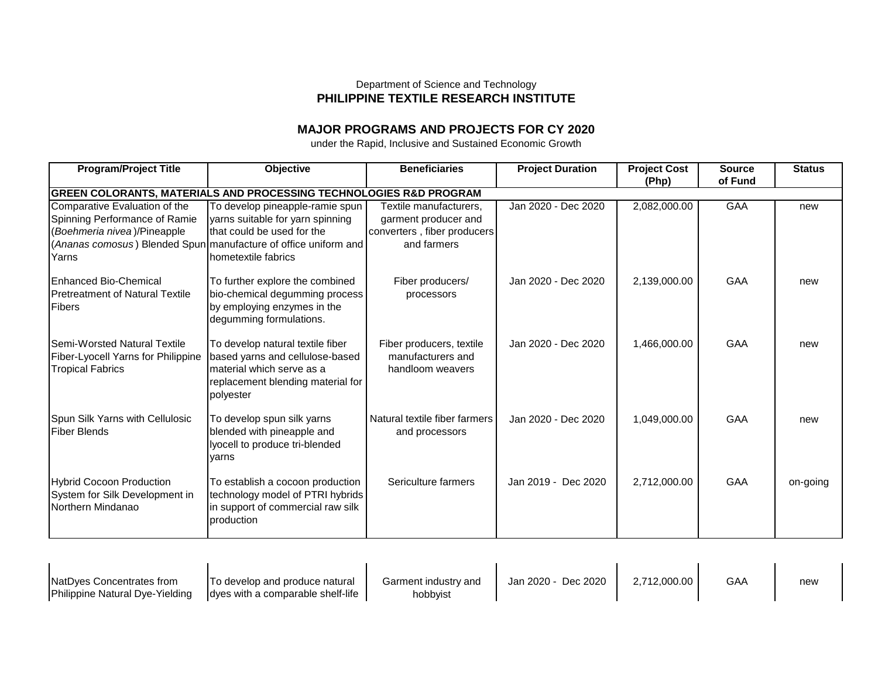## Department of Science and Technology **PHILIPPINE TEXTILE RESEARCH INSTITUTE**

## **MAJOR PROGRAMS AND PROJECTS FOR CY 2020**

under the Rapid, Inclusive and Sustained Economic Growth

| <b>Program/Project Title</b>                                                                  | <b>Objective</b>                                                                                                                                   | <b>Beneficiaries</b>                                              | <b>Project Duration</b> | <b>Project Cost</b><br>(Php) | <b>Source</b><br>of Fund | <b>Status</b> |  |
|-----------------------------------------------------------------------------------------------|----------------------------------------------------------------------------------------------------------------------------------------------------|-------------------------------------------------------------------|-------------------------|------------------------------|--------------------------|---------------|--|
| GREEN COLORANTS, MATERIALS AND PROCESSING TECHNOLOGIES R&D PROGRAM                            |                                                                                                                                                    |                                                                   |                         |                              |                          |               |  |
| Comparative Evaluation of the<br>Spinning Performance of Ramie                                | To develop pineapple-ramie spun<br>yarns suitable for yarn spinning                                                                                | Textile manufacturers,<br>garment producer and                    | Jan 2020 - Dec 2020     | 2,082,000.00                 | <b>GAA</b>               | new           |  |
| (Boehmeria nivea)/Pineapple                                                                   | that could be used for the                                                                                                                         | converters, fiber producers                                       |                         |                              |                          |               |  |
|                                                                                               | (Ananas comosus) Blended Spun manufacture of office uniform and                                                                                    | and farmers                                                       |                         |                              |                          |               |  |
| Yarns                                                                                         | hometextile fabrics                                                                                                                                |                                                                   |                         |                              |                          |               |  |
| <b>Enhanced Bio-Chemical</b><br><b>Pretreatment of Natural Textile</b><br>Fibers              | To further explore the combined<br>bio-chemical degumming process<br>by employing enzymes in the<br>degumming formulations.                        | Fiber producers/<br>processors                                    | Jan 2020 - Dec 2020     | 2,139,000.00                 | <b>GAA</b>               | new           |  |
| Semi-Worsted Natural Textile<br>Fiber-Lyocell Yarns for Philippine<br><b>Tropical Fabrics</b> | To develop natural textile fiber<br>based yarns and cellulose-based<br>material which serve as a<br>replacement blending material for<br>polyester | Fiber producers, textile<br>manufacturers and<br>handloom weavers | Jan 2020 - Dec 2020     | 1,466,000.00                 | GAA                      | new           |  |
| Spun Silk Yarns with Cellulosic<br><b>Fiber Blends</b>                                        | To develop spun silk yarns<br>blended with pineapple and<br>lyocell to produce tri-blended<br>varns                                                | Natural textile fiber farmers<br>and processors                   | Jan 2020 - Dec 2020     | 1,049,000.00                 | GAA                      | new           |  |
| <b>Hybrid Cocoon Production</b><br>System for Silk Development in<br>Northern Mindanao        | To establish a cocoon production<br>technology model of PTRI hybrids<br>in support of commercial raw silk<br>production                            | Sericulture farmers                                               | Jan 2019 - Dec 2020     | 2,712,000.00                 | <b>GAA</b>               | on-going      |  |

| <b>NatDves Concentrates from</b>        | <b>To develop and produce natural</b> | Garment industry and | Jan 2020 - Dec 2020 | 2.712.000.00 | GAA | new |
|-----------------------------------------|---------------------------------------|----------------------|---------------------|--------------|-----|-----|
| <b>IPhilippine Natural Dve-Yielding</b> | ldyes with a comparable shelf-life    | hobbvist             |                     |              |     |     |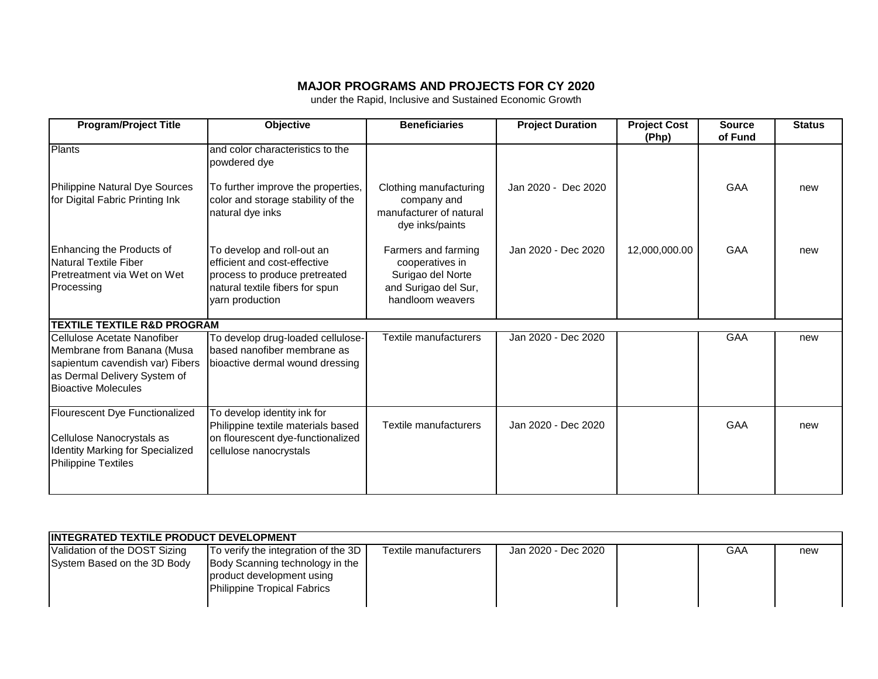## **MAJOR PROGRAMS AND PROJECTS FOR CY 2020**

under the Rapid, Inclusive and Sustained Economic Growth

| <b>Program/Project Title</b>                                                                                                                               | <b>Objective</b>                                                                                                                                  | <b>Beneficiaries</b>                                                                                    | <b>Project Duration</b> | <b>Project Cost</b><br>(Php) | <b>Source</b><br>of Fund | <b>Status</b> |
|------------------------------------------------------------------------------------------------------------------------------------------------------------|---------------------------------------------------------------------------------------------------------------------------------------------------|---------------------------------------------------------------------------------------------------------|-------------------------|------------------------------|--------------------------|---------------|
| <b>Plants</b>                                                                                                                                              | and color characteristics to the<br>powdered dye                                                                                                  |                                                                                                         |                         |                              |                          |               |
| Philippine Natural Dye Sources<br>for Digital Fabric Printing Ink                                                                                          | To further improve the properties,<br>color and storage stability of the<br>natural dye inks                                                      | Clothing manufacturing<br>company and<br>manufacturer of natural<br>dye inks/paints                     | Jan 2020 - Dec 2020     |                              | GAA                      | new           |
| Enhancing the Products of<br>Natural Textile Fiber<br><b>Pretreatment via Wet on Wet</b><br>Processing                                                     | To develop and roll-out an<br>efficient and cost-effective<br>process to produce pretreated<br>natural textile fibers for spun<br>yarn production | Farmers and farming<br>cooperatives in<br>Surigao del Norte<br>and Surigao del Sur,<br>handloom weavers | Jan 2020 - Dec 2020     | 12,000,000.00                | GAA                      | new           |
| <b>TEXTILE TEXTILE R&amp;D PROGRAM</b>                                                                                                                     |                                                                                                                                                   |                                                                                                         |                         |                              |                          |               |
| Cellulose Acetate Nanofiber<br>Membrane from Banana (Musa<br>sapientum cavendish var) Fibers<br>as Dermal Delivery System of<br><b>Bioactive Molecules</b> | To develop drug-loaded cellulose-<br>based nanofiber membrane as<br>bioactive dermal wound dressing                                               | Textile manufacturers                                                                                   | Jan 2020 - Dec 2020     |                              | <b>GAA</b>               | new           |
| Flourescent Dye Functionalized<br>Cellulose Nanocrystals as<br>Identity Marking for Specialized<br><b>Philippine Textiles</b>                              | To develop identity ink for<br>Philippine textile materials based<br>on flourescent dye-functionalized<br>cellulose nanocrystals                  | <b>Textile manufacturers</b>                                                                            | Jan 2020 - Dec 2020     |                              | GAA                      | new           |

| <b>INTEGRATED TEXTILE PRODUCT DEVELOPMENT</b> |                                                                                                    |                       |                     |  |     |     |  |
|-----------------------------------------------|----------------------------------------------------------------------------------------------------|-----------------------|---------------------|--|-----|-----|--|
| Validation of the DOST Sizing                 | To verify the integration of the 3D                                                                | Textile manufacturers | Jan 2020 - Dec 2020 |  | GAA | new |  |
| System Based on the 3D Body                   | Body Scanning technology in the<br>product development using<br><b>Philippine Tropical Fabrics</b> |                       |                     |  |     |     |  |